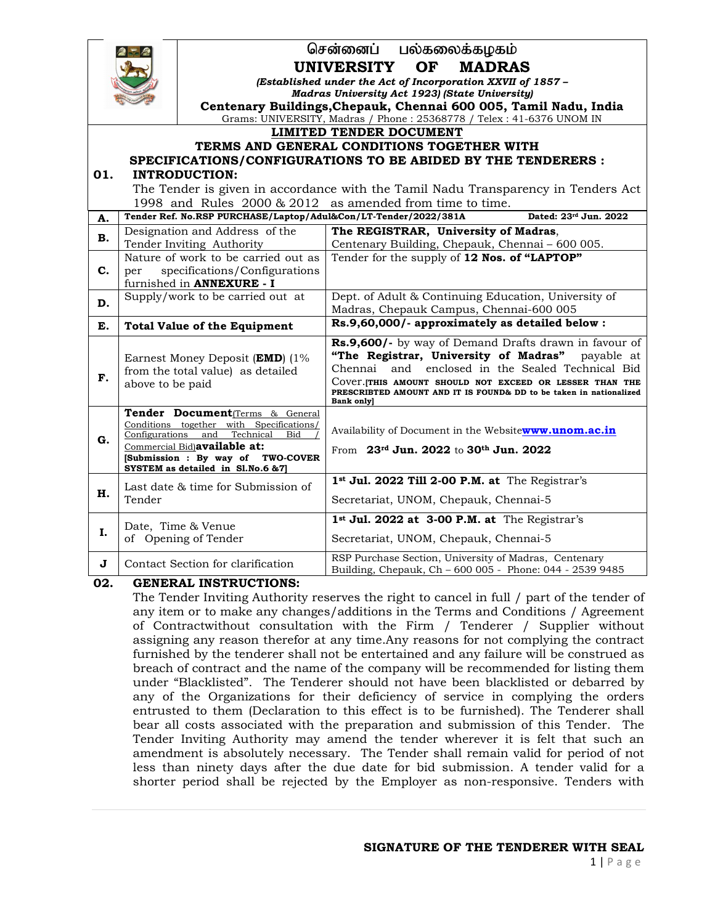|     |                                                                                                         | பல்கலைக்கழகம்<br>சென்னைப்                                                                   |                                                                                                                               |  |  |  |  |
|-----|---------------------------------------------------------------------------------------------------------|---------------------------------------------------------------------------------------------|-------------------------------------------------------------------------------------------------------------------------------|--|--|--|--|
|     |                                                                                                         | <b>OF</b><br><b>UNIVERSITY</b><br><b>MADRAS</b>                                             |                                                                                                                               |  |  |  |  |
|     |                                                                                                         | (Established under the Act of Incorporation XXVII of 1857 -                                 |                                                                                                                               |  |  |  |  |
|     |                                                                                                         | <b>Madras University Act 1923) (State University)</b>                                       |                                                                                                                               |  |  |  |  |
|     |                                                                                                         |                                                                                             | Centenary Buildings, Chepauk, Chennai 600 005, Tamil Nadu, India                                                              |  |  |  |  |
|     |                                                                                                         |                                                                                             | Grams: UNIVERSITY, Madras / Phone: 25368778 / Telex: 41-6376 UNOM IN<br><b>LIMITED TENDER DOCUMENT</b>                        |  |  |  |  |
|     |                                                                                                         |                                                                                             | TERMS AND GENERAL CONDITIONS TOGETHER WITH                                                                                    |  |  |  |  |
|     |                                                                                                         |                                                                                             | SPECIFICATIONS/CONFIGURATIONS TO BE ABIDED BY THE TENDERERS :                                                                 |  |  |  |  |
| 01. |                                                                                                         | <b>INTRODUCTION:</b>                                                                        |                                                                                                                               |  |  |  |  |
|     |                                                                                                         |                                                                                             | The Tender is given in accordance with the Tamil Nadu Transparency in Tenders Act                                             |  |  |  |  |
|     | 1998 and Rules 2000 & 2012 as amended from time to time.                                                |                                                                                             |                                                                                                                               |  |  |  |  |
| A.  |                                                                                                         | Tender Ref. No.RSP PURCHASE/Laptop/Adul&Con/LT-Tender/2022/381A                             | Dated: 23rd Jun. 2022                                                                                                         |  |  |  |  |
| В.  |                                                                                                         | Designation and Address of the                                                              | The REGISTRAR, University of Madras,                                                                                          |  |  |  |  |
|     | Tender Inviting Authority                                                                               |                                                                                             | Centenary Building, Chepauk, Chennai - 600 005.                                                                               |  |  |  |  |
|     | Nature of work to be carried out as                                                                     |                                                                                             | Tender for the supply of 12 Nos. of "LAPTOP"                                                                                  |  |  |  |  |
| C.  | specifications/Configurations<br>per<br>furnished in <b>ANNEXURE</b> - I                                |                                                                                             |                                                                                                                               |  |  |  |  |
|     |                                                                                                         | Supply/work to be carried out at                                                            | Dept. of Adult & Continuing Education, University of                                                                          |  |  |  |  |
| D.  |                                                                                                         |                                                                                             | Madras, Chepauk Campus, Chennai-600 005                                                                                       |  |  |  |  |
| E.  | <b>Total Value of the Equipment</b>                                                                     |                                                                                             | Rs.9,60,000/- approximately as detailed below :                                                                               |  |  |  |  |
|     | Earnest Money Deposit (EMD) (1%<br>from the total value) as detailed                                    |                                                                                             | Rs.9,600/- by way of Demand Drafts drawn in favour of                                                                         |  |  |  |  |
|     |                                                                                                         |                                                                                             | "The Registrar, University of Madras"<br>payable at                                                                           |  |  |  |  |
| F.  |                                                                                                         |                                                                                             | and enclosed in the Sealed Technical Bid<br>Chennai                                                                           |  |  |  |  |
|     | above to be paid                                                                                        |                                                                                             | Cover. THIS AMOUNT SHOULD NOT EXCEED OR LESSER THAN THE<br>PRESCRIBTED AMOUNT AND IT IS FOUND& DD to be taken in nationalized |  |  |  |  |
|     |                                                                                                         |                                                                                             | <b>Bank onlyl</b>                                                                                                             |  |  |  |  |
|     |                                                                                                         | Tender Document <sub>(Terms &amp; General</sub><br>Conditions together with Specifications/ |                                                                                                                               |  |  |  |  |
| G.  |                                                                                                         | Configurations and Technical<br><b>Bid</b>                                                  | Availability of Document in the Websitewww.unom.ac.in                                                                         |  |  |  |  |
|     | Commercial Bid) available at:<br>[Submission : By way of TWO-COVER<br>SYSTEM as detailed in Sl.No.6 &7] |                                                                                             | From 23rd Jun. 2022 to 30th Jun. 2022                                                                                         |  |  |  |  |
|     |                                                                                                         |                                                                                             |                                                                                                                               |  |  |  |  |
|     | Last date & time for Submission of<br>Tender                                                            |                                                                                             | 1st Jul. 2022 Till 2-00 P.M. at The Registrar's                                                                               |  |  |  |  |
| н.  |                                                                                                         |                                                                                             | Secretariat, UNOM, Chepauk, Chennai-5                                                                                         |  |  |  |  |
|     |                                                                                                         |                                                                                             |                                                                                                                               |  |  |  |  |
| I.  | Date, Time & Venue                                                                                      |                                                                                             | 1st Jul. 2022 at 3-00 P.M. at The Registrar's                                                                                 |  |  |  |  |
|     |                                                                                                         | of Opening of Tender                                                                        | Secretariat, UNOM, Chepauk, Chennai-5                                                                                         |  |  |  |  |
| J   |                                                                                                         | Contact Section for clarification                                                           | RSP Purchase Section, University of Madras, Centenary                                                                         |  |  |  |  |
|     |                                                                                                         |                                                                                             | Building, Chepauk, Ch - 600 005 - Phone: 044 - 2539 9485                                                                      |  |  |  |  |

# **02. GENERAL INSTRUCTIONS:**

The Tender Inviting Authority reserves the right to cancel in full / part of the tender of any item or to make any changes/additions in the Terms and Conditions / Agreement of Contractwithout consultation with the Firm / Tenderer / Supplier without assigning any reason therefor at any time.Any reasons for not complying the contract furnished by the tenderer shall not be entertained and any failure will be construed as breach of contract and the name of the company will be recommended for listing them under "Blacklisted". The Tenderer should not have been blacklisted or debarred by any of the Organizations for their deficiency of service in complying the orders entrusted to them (Declaration to this effect is to be furnished). The Tenderer shall bear all costs associated with the preparation and submission of this Tender. The Tender Inviting Authority may amend the tender wherever it is felt that such an amendment is absolutely necessary. The Tender shall remain valid for period of not less than ninety days after the due date for bid submission. A tender valid for a shorter period shall be rejected by the Employer as non-responsive. Tenders with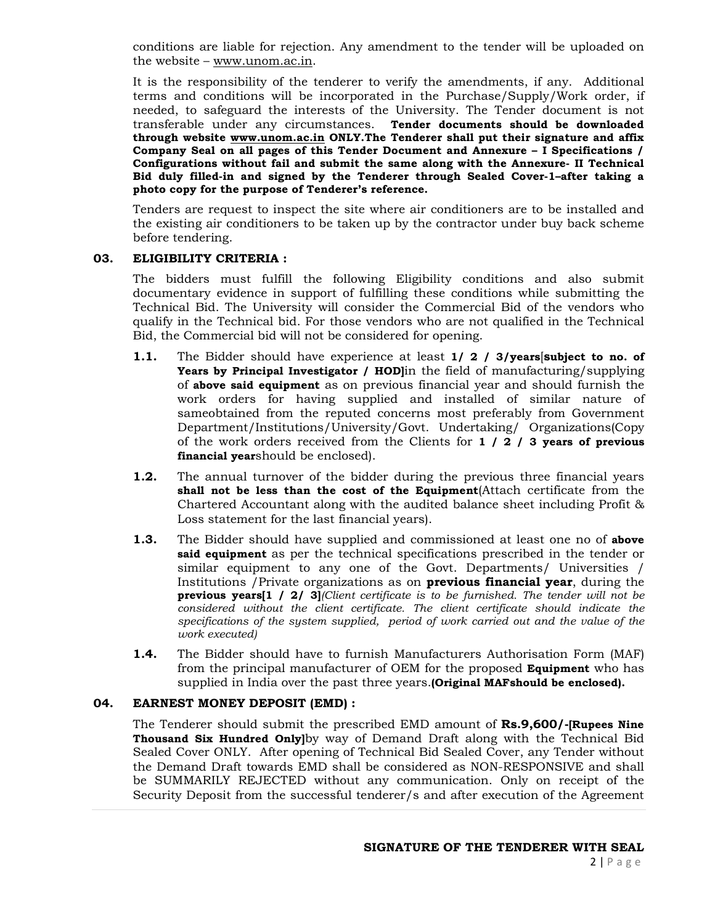conditions are liable for rejection. Any amendment to the tender will be uploaded on the website – www.unom.ac.in.

It is the responsibility of the tenderer to verify the amendments, if any. Additional terms and conditions will be incorporated in the Purchase/Supply/Work order, if needed, to safeguard the interests of the University. The Tender document is not transferable under any circumstances. **Tender documents should be downloaded through website www.unom.ac.in ONLY.The Tenderer shall put their signature and affix Company Seal on all pages of this Tender Document and Annexure – I Specifications / Configurations without fail and submit the same along with the Annexure- II Technical Bid duly filled-in and signed by the Tenderer through Sealed Cover-1–after taking a photo copy for the purpose of Tenderer's reference.**

Tenders are request to inspect the site where air conditioners are to be installed and the existing air conditioners to be taken up by the contractor under buy back scheme before tendering.

# **03. ELIGIBILITY CRITERIA :**

The bidders must fulfill the following Eligibility conditions and also submit documentary evidence in support of fulfilling these conditions while submitting the Technical Bid. The University will consider the Commercial Bid of the vendors who qualify in the Technical bid. For those vendors who are not qualified in the Technical Bid, the Commercial bid will not be considered for opening.

- **1.1.** The Bidder should have experience at least **1/ 2 / 3/years**[**subject to no. of Years by Principal Investigator / HOD]**in the field of manufacturing/supplying of **above said equipment** as on previous financial year and should furnish the work orders for having supplied and installed of similar nature of sameobtained from the reputed concerns most preferably from Government Department/Institutions/University/Govt. Undertaking/ Organizations(Copy of the work orders received from the Clients for **1 / 2 / 3 years of previous financial year**should be enclosed).
- **1.2.** The annual turnover of the bidder during the previous three financial years **shall not be less than the cost of the Equipment**(Attach certificate from the Chartered Accountant along with the audited balance sheet including Profit & Loss statement for the last financial years).
- **1.3.** The Bidder should have supplied and commissioned at least one no of **above said equipment** as per the technical specifications prescribed in the tender or similar equipment to any one of the Govt. Departments/ Universities / Institutions /Private organizations as on **previous financial year**, during the **previous years[1 / 2/ 3]***(Client certificate is to be furnished. The tender will not be considered without the client certificate. The client certificate should indicate the specifications of the system supplied, period of work carried out and the value of the work executed)*
- **1.4.** The Bidder should have to furnish Manufacturers Authorisation Form (MAF) from the principal manufacturer of OEM for the proposed **Equipment** who has supplied in India over the past three years.**(Original MAFshould be enclosed).**

### **04. EARNEST MONEY DEPOSIT (EMD) :**

The Tenderer should submit the prescribed EMD amount of **Rs.9,600/-[Rupees Nine Thousand Six Hundred Only]**by way of Demand Draft along with the Technical Bid Sealed Cover ONLY. After opening of Technical Bid Sealed Cover, any Tender without the Demand Draft towards EMD shall be considered as NON-RESPONSIVE and shall be SUMMARILY REJECTED without any communication. Only on receipt of the Security Deposit from the successful tenderer/s and after execution of the Agreement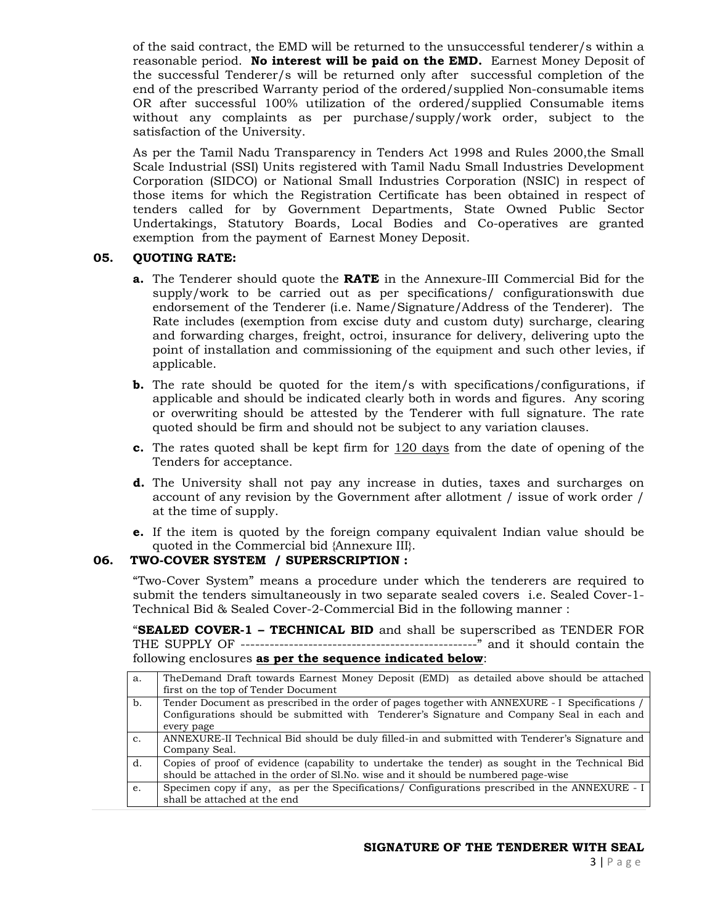of the said contract, the EMD will be returned to the unsuccessful tenderer/s within a reasonable period. **No interest will be paid on the EMD.** Earnest Money Deposit of the successful Tenderer/s will be returned only after successful completion of the end of the prescribed Warranty period of the ordered/supplied Non-consumable items OR after successful 100% utilization of the ordered/supplied Consumable items without any complaints as per purchase/supply/work order, subject to the satisfaction of the University.

As per the Tamil Nadu Transparency in Tenders Act 1998 and Rules 2000,the Small Scale Industrial (SSI) Units registered with Tamil Nadu Small Industries Development Corporation (SIDCO) or National Small Industries Corporation (NSIC) in respect of those items for which the Registration Certificate has been obtained in respect of tenders called for by Government Departments, State Owned Public Sector Undertakings, Statutory Boards, Local Bodies and Co-operatives are granted exemption from the payment of Earnest Money Deposit.

# **05. QUOTING RATE:**

- **a.** The Tenderer should quote the **RATE** in the Annexure-III Commercial Bid for the supply/work to be carried out as per specifications/ configurationswith due endorsement of the Tenderer (i.e. Name/Signature/Address of the Tenderer). The Rate includes (exemption from excise duty and custom duty) surcharge, clearing and forwarding charges, freight, octroi, insurance for delivery, delivering upto the point of installation and commissioning of the equipment and such other levies, if applicable.
- **b.** The rate should be quoted for the item/s with specifications/configurations, if applicable and should be indicated clearly both in words and figures. Any scoring or overwriting should be attested by the Tenderer with full signature. The rate quoted should be firm and should not be subject to any variation clauses.
- **c.** The rates quoted shall be kept firm for 120 days from the date of opening of the Tenders for acceptance.
- **d.** The University shall not pay any increase in duties, taxes and surcharges on account of any revision by the Government after allotment / issue of work order / at the time of supply.
- **e.** If the item is quoted by the foreign company equivalent Indian value should be quoted in the Commercial bid {Annexure III}.

### **06. TWO-COVER SYSTEM / SUPERSCRIPTION :**

"Two-Cover System" means a procedure under which the tenderers are required to submit the tenders simultaneously in two separate sealed covers i.e. Sealed Cover-1- Technical Bid & Sealed Cover-2-Commercial Bid in the following manner :

"**SEALED COVER-1 – TECHNICAL BID** and shall be superscribed as TENDER FOR THE SUPPLY OF -------------------------------------------------" and it should contain the following enclosures **as per the sequence indicated below**:

| a.          | TheDemand Draft towards Earnest Money Deposit (EMD) as detailed above should be attached        |  |  |  |  |
|-------------|-------------------------------------------------------------------------------------------------|--|--|--|--|
|             | first on the top of Tender Document                                                             |  |  |  |  |
| b.          | Tender Document as prescribed in the order of pages together with ANNEXURE - I Specifications / |  |  |  |  |
|             | Configurations should be submitted with Tenderer's Signature and Company Seal in each and       |  |  |  |  |
|             | every page                                                                                      |  |  |  |  |
| $C_{\star}$ | ANNEXURE-II Technical Bid should be duly filled-in and submitted with Tenderer's Signature and  |  |  |  |  |
|             | Company Seal.                                                                                   |  |  |  |  |
| d.          | Copies of proof of evidence (capability to undertake the tender) as sought in the Technical Bid |  |  |  |  |
|             | should be attached in the order of Sl.No. wise and it should be numbered page-wise              |  |  |  |  |
| e.          | Specimen copy if any, as per the Specifications/ Configurations prescribed in the ANNEXURE - I  |  |  |  |  |
|             | shall be attached at the end                                                                    |  |  |  |  |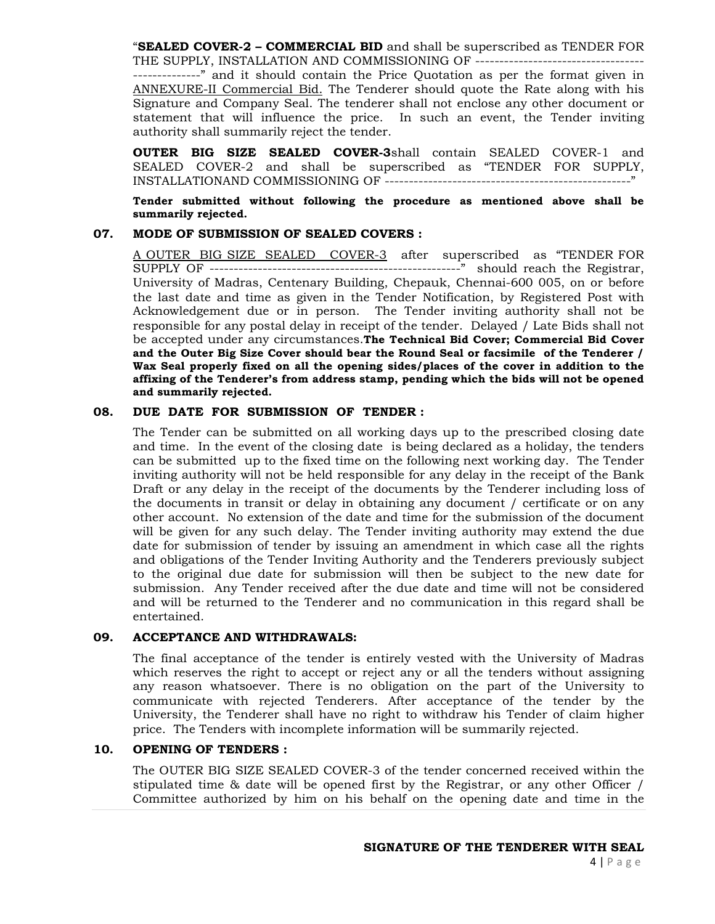"**SEALED COVER-2 – COMMERCIAL BID** and shall be superscribed as TENDER FOR THE SUPPLY, INSTALLATION AND COMMISSIONING OF ----------------------------------

--------------" and it should contain the Price Quotation as per the format given in ANNEXURE-II Commercial Bid. The Tenderer should quote the Rate along with his Signature and Company Seal. The tenderer shall not enclose any other document or statement that will influence the price. In such an event, the Tender inviting authority shall summarily reject the tender.

**OUTER BIG SIZE SEALED COVER-3**shall contain SEALED COVER-1 and SEALED COVER-2 and shall be superscribed as "TENDER FOR SUPPLY, INSTALLATIONAND COMMISSIONING OF ---------------------------------------------------"

**Tender submitted without following the procedure as mentioned above shall be summarily rejected.** 

#### **07. MODE OF SUBMISSION OF SEALED COVERS :**

A OUTER BIG SIZE SEALED COVER-3 after superscribed as "TENDER FOR SUPPLY OF ----------------------------------------------------" should reach the Registrar, University of Madras, Centenary Building, Chepauk, Chennai-600 005, on or before the last date and time as given in the Tender Notification, by Registered Post with Acknowledgement due or in person. The Tender inviting authority shall not be responsible for any postal delay in receipt of the tender. Delayed / Late Bids shall not be accepted under any circumstances.**The Technical Bid Cover; Commercial Bid Cover and the Outer Big Size Cover should bear the Round Seal or facsimile of the Tenderer / Wax Seal properly fixed on all the opening sides/places of the cover in addition to the affixing of the Tenderer's from address stamp, pending which the bids will not be opened and summarily rejected.**

# **08. DUE DATE FOR SUBMISSION OF TENDER :**

The Tender can be submitted on all working days up to the prescribed closing date and time. In the event of the closing date is being declared as a holiday, the tenders can be submitted up to the fixed time on the following next working day. The Tender inviting authority will not be held responsible for any delay in the receipt of the Bank Draft or any delay in the receipt of the documents by the Tenderer including loss of the documents in transit or delay in obtaining any document / certificate or on any other account. No extension of the date and time for the submission of the document will be given for any such delay. The Tender inviting authority may extend the due date for submission of tender by issuing an amendment in which case all the rights and obligations of the Tender Inviting Authority and the Tenderers previously subject to the original due date for submission will then be subject to the new date for submission. Any Tender received after the due date and time will not be considered and will be returned to the Tenderer and no communication in this regard shall be entertained.

## **09. ACCEPTANCE AND WITHDRAWALS:**

The final acceptance of the tender is entirely vested with the University of Madras which reserves the right to accept or reject any or all the tenders without assigning any reason whatsoever. There is no obligation on the part of the University to communicate with rejected Tenderers. After acceptance of the tender by the University, the Tenderer shall have no right to withdraw his Tender of claim higher price. The Tenders with incomplete information will be summarily rejected.

## **10. OPENING OF TENDERS :**

The OUTER BIG SIZE SEALED COVER-3 of the tender concerned received within the stipulated time & date will be opened first by the Registrar, or any other Officer / Committee authorized by him on his behalf on the opening date and time in the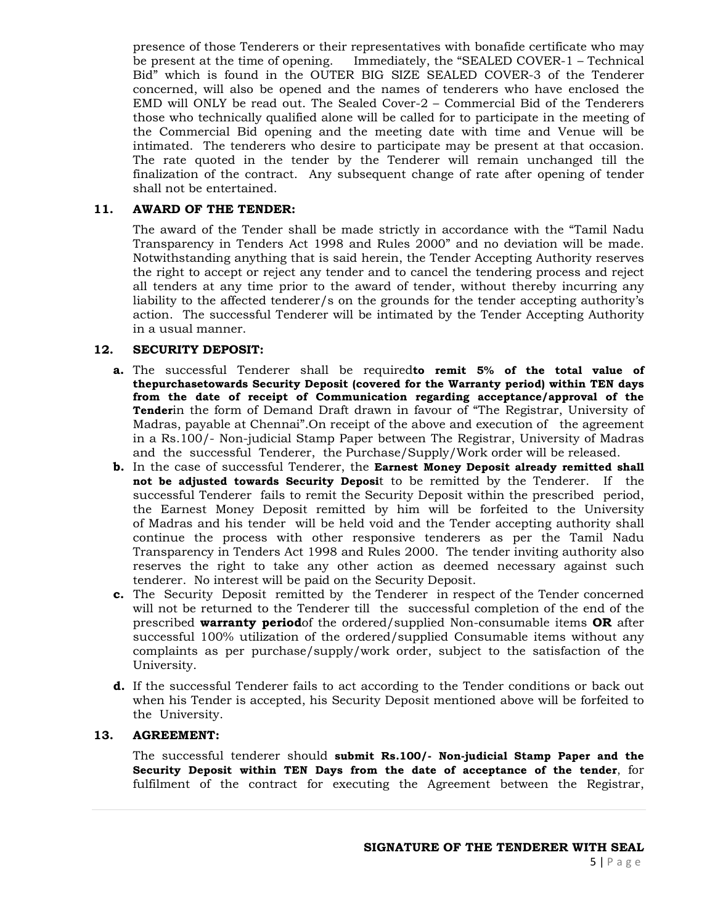presence of those Tenderers or their representatives with bonafide certificate who may be present at the time of opening. Immediately, the "SEALED COVER-1 – Technical Bid" which is found in the OUTER BIG SIZE SEALED COVER-3 of the Tenderer concerned, will also be opened and the names of tenderers who have enclosed the EMD will ONLY be read out. The Sealed Cover-2 – Commercial Bid of the Tenderers those who technically qualified alone will be called for to participate in the meeting of the Commercial Bid opening and the meeting date with time and Venue will be intimated. The tenderers who desire to participate may be present at that occasion. The rate quoted in the tender by the Tenderer will remain unchanged till the finalization of the contract. Any subsequent change of rate after opening of tender shall not be entertained.

# **11. AWARD OF THE TENDER:**

The award of the Tender shall be made strictly in accordance with the "Tamil Nadu Transparency in Tenders Act 1998 and Rules 2000" and no deviation will be made. Notwithstanding anything that is said herein, the Tender Accepting Authority reserves the right to accept or reject any tender and to cancel the tendering process and reject all tenders at any time prior to the award of tender, without thereby incurring any liability to the affected tenderer/s on the grounds for the tender accepting authority's action. The successful Tenderer will be intimated by the Tender Accepting Authority in a usual manner.

# **12. SECURITY DEPOSIT:**

- **a.** The successful Tenderer shall be required**to remit 5% of the total value of thepurchasetowards Security Deposit (covered for the Warranty period) within TEN days from the date of receipt of Communication regarding acceptance/approval of the Tender**in the form of Demand Draft drawn in favour of "The Registrar, University of Madras, payable at Chennai".On receipt of the above and execution of the agreement in a Rs.100/- Non-judicial Stamp Paper between The Registrar, University of Madras and the successful Tenderer, the Purchase/Supply/Work order will be released.
- **b.** In the case of successful Tenderer, the **Earnest Money Deposit already remitted shall not be adjusted towards Security Deposi**t to be remitted by the Tenderer. If the successful Tenderer fails to remit the Security Deposit within the prescribed period, the Earnest Money Deposit remitted by him will be forfeited to the University of Madras and his tender will be held void and the Tender accepting authority shall continue the process with other responsive tenderers as per the Tamil Nadu Transparency in Tenders Act 1998 and Rules 2000. The tender inviting authority also reserves the right to take any other action as deemed necessary against such tenderer. No interest will be paid on the Security Deposit.
- **c.** The Security Deposit remitted by the Tenderer in respect of the Tender concerned will not be returned to the Tenderer till the successful completion of the end of the prescribed **warranty period**of the ordered/supplied Non-consumable items **OR** after successful 100% utilization of the ordered/supplied Consumable items without any complaints as per purchase/supply/work order, subject to the satisfaction of the University.
- **d.** If the successful Tenderer fails to act according to the Tender conditions or back out when his Tender is accepted, his Security Deposit mentioned above will be forfeited to the University.

# **13. AGREEMENT:**

The successful tenderer should **submit Rs.100/- Non-judicial Stamp Paper and the Security Deposit within TEN Days from the date of acceptance of the tender**, for fulfilment of the contract for executing the Agreement between the Registrar,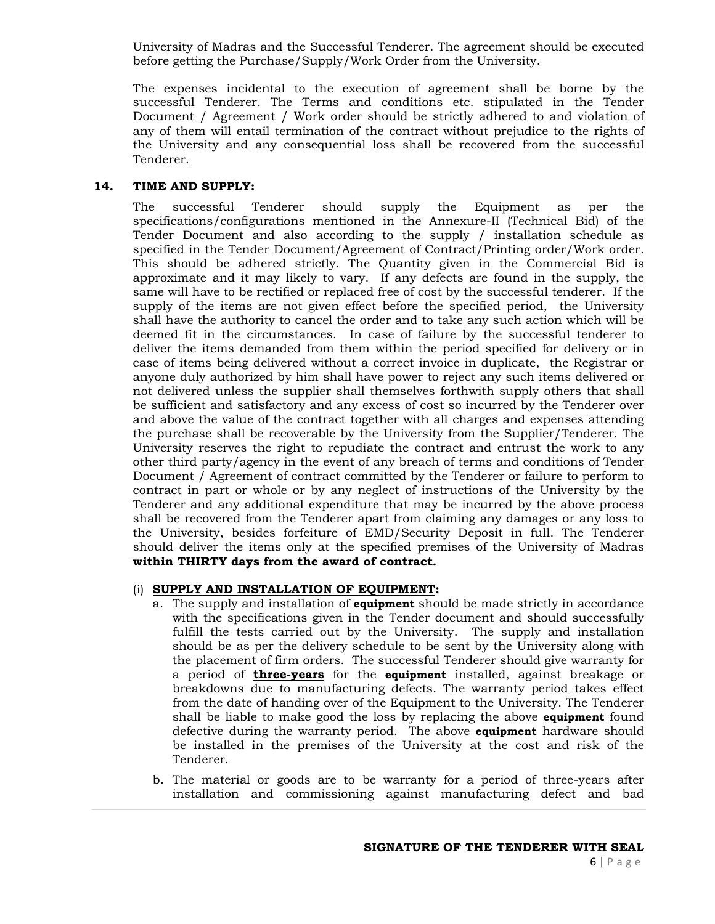University of Madras and the Successful Tenderer. The agreement should be executed before getting the Purchase/Supply/Work Order from the University.

The expenses incidental to the execution of agreement shall be borne by the successful Tenderer. The Terms and conditions etc. stipulated in the Tender Document / Agreement / Work order should be strictly adhered to and violation of any of them will entail termination of the contract without prejudice to the rights of the University and any consequential loss shall be recovered from the successful Tenderer.

## **14. TIME AND SUPPLY:**

The successful Tenderer should supply the Equipment as per the specifications/configurations mentioned in the Annexure-II (Technical Bid) of the Tender Document and also according to the supply / installation schedule as specified in the Tender Document/Agreement of Contract/Printing order/Work order. This should be adhered strictly. The Quantity given in the Commercial Bid is approximate and it may likely to vary. If any defects are found in the supply, the same will have to be rectified or replaced free of cost by the successful tenderer. If the supply of the items are not given effect before the specified period, the University shall have the authority to cancel the order and to take any such action which will be deemed fit in the circumstances. In case of failure by the successful tenderer to deliver the items demanded from them within the period specified for delivery or in case of items being delivered without a correct invoice in duplicate, the Registrar or anyone duly authorized by him shall have power to reject any such items delivered or not delivered unless the supplier shall themselves forthwith supply others that shall be sufficient and satisfactory and any excess of cost so incurred by the Tenderer over and above the value of the contract together with all charges and expenses attending the purchase shall be recoverable by the University from the Supplier/Tenderer. The University reserves the right to repudiate the contract and entrust the work to any other third party/agency in the event of any breach of terms and conditions of Tender Document / Agreement of contract committed by the Tenderer or failure to perform to contract in part or whole or by any neglect of instructions of the University by the Tenderer and any additional expenditure that may be incurred by the above process shall be recovered from the Tenderer apart from claiming any damages or any loss to the University, besides forfeiture of EMD/Security Deposit in full. The Tenderer should deliver the items only at the specified premises of the University of Madras **within THIRTY days from the award of contract.**

#### (i) **SUPPLY AND INSTALLATION OF EQUIPMENT:**

- a. The supply and installation of **equipment** should be made strictly in accordance with the specifications given in the Tender document and should successfully fulfill the tests carried out by the University. The supply and installation should be as per the delivery schedule to be sent by the University along with the placement of firm orders. The successful Tenderer should give warranty for a period of **three-years** for the **equipment** installed, against breakage or breakdowns due to manufacturing defects. The warranty period takes effect from the date of handing over of the Equipment to the University. The Tenderer shall be liable to make good the loss by replacing the above **equipment** found defective during the warranty period. The above **equipment** hardware should be installed in the premises of the University at the cost and risk of the Tenderer.
- b. The material or goods are to be warranty for a period of three-years after installation and commissioning against manufacturing defect and bad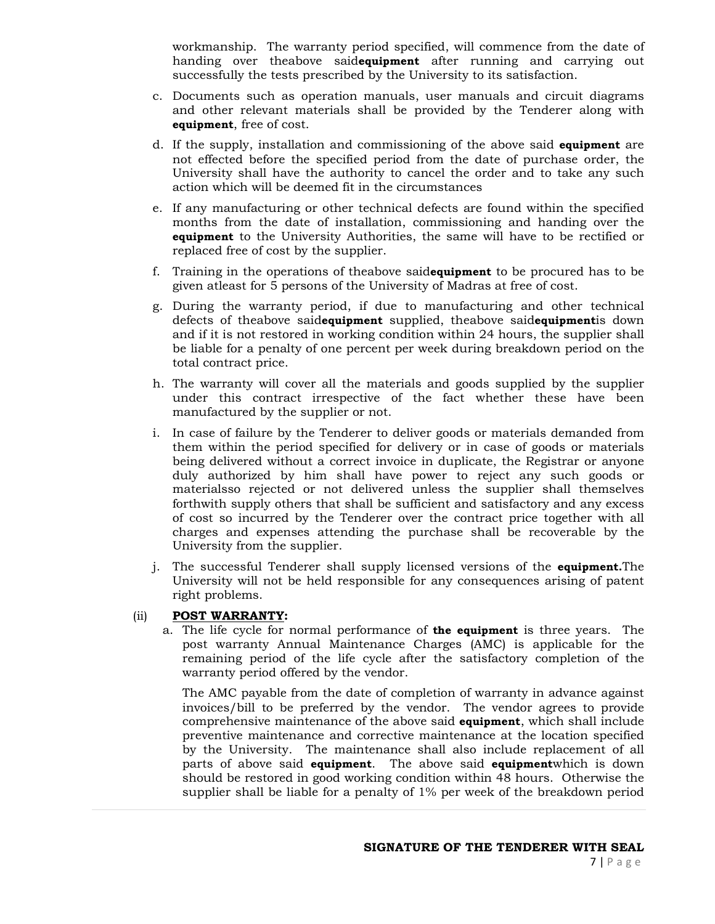workmanship. The warranty period specified, will commence from the date of handing over theabove said**equipment** after running and carrying out successfully the tests prescribed by the University to its satisfaction.

- c. Documents such as operation manuals, user manuals and circuit diagrams and other relevant materials shall be provided by the Tenderer along with **equipment**, free of cost.
- d. If the supply, installation and commissioning of the above said **equipment** are not effected before the specified period from the date of purchase order, the University shall have the authority to cancel the order and to take any such action which will be deemed fit in the circumstances
- e. If any manufacturing or other technical defects are found within the specified months from the date of installation, commissioning and handing over the **equipment** to the University Authorities, the same will have to be rectified or replaced free of cost by the supplier.
- f. Training in the operations of theabove said**equipment** to be procured has to be given atleast for 5 persons of the University of Madras at free of cost.
- g. During the warranty period, if due to manufacturing and other technical defects of theabove said**equipment** supplied, theabove said**equipment**is down and if it is not restored in working condition within 24 hours, the supplier shall be liable for a penalty of one percent per week during breakdown period on the total contract price.
- h. The warranty will cover all the materials and goods supplied by the supplier under this contract irrespective of the fact whether these have been manufactured by the supplier or not.
- i. In case of failure by the Tenderer to deliver goods or materials demanded from them within the period specified for delivery or in case of goods or materials being delivered without a correct invoice in duplicate, the Registrar or anyone duly authorized by him shall have power to reject any such goods or materialsso rejected or not delivered unless the supplier shall themselves forthwith supply others that shall be sufficient and satisfactory and any excess of cost so incurred by the Tenderer over the contract price together with all charges and expenses attending the purchase shall be recoverable by the University from the supplier.
- j. The successful Tenderer shall supply licensed versions of the **equipment.**The University will not be held responsible for any consequences arising of patent right problems.
- (ii) **POST WARRANTY:**
	- a. The life cycle for normal performance of **the equipment** is three years. The post warranty Annual Maintenance Charges (AMC) is applicable for the remaining period of the life cycle after the satisfactory completion of the warranty period offered by the vendor.

The AMC payable from the date of completion of warranty in advance against invoices/bill to be preferred by the vendor. The vendor agrees to provide comprehensive maintenance of the above said **equipment**, which shall include preventive maintenance and corrective maintenance at the location specified by the University. The maintenance shall also include replacement of all parts of above said **equipment**. The above said **equipment**which is down should be restored in good working condition within 48 hours. Otherwise the supplier shall be liable for a penalty of 1% per week of the breakdown period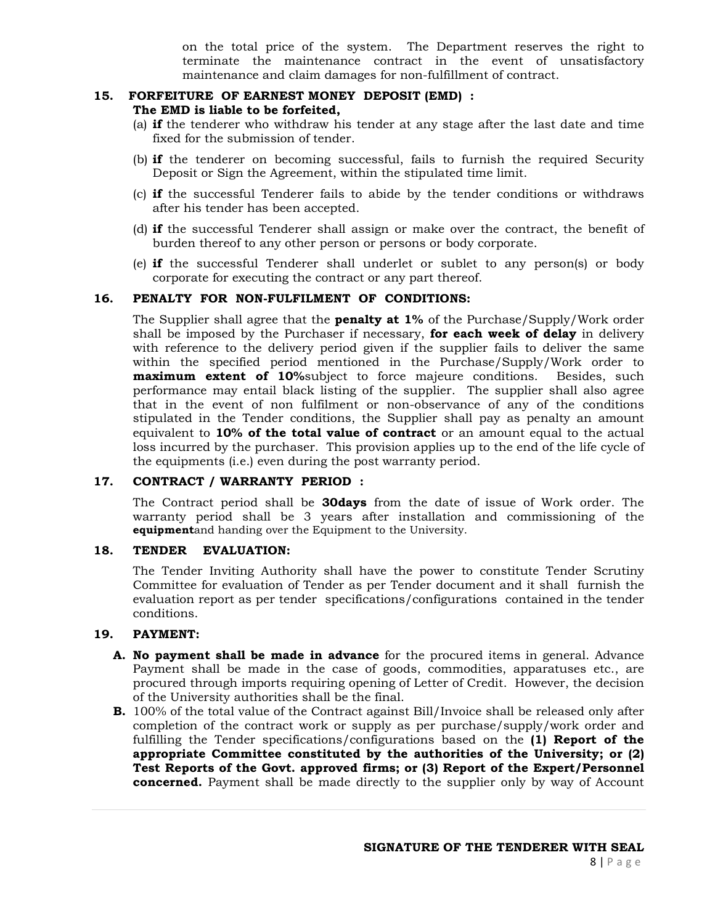on the total price of the system. The Department reserves the right to terminate the maintenance contract in the event of unsatisfactory maintenance and claim damages for non-fulfillment of contract.

# **15. FORFEITURE OF EARNEST MONEY DEPOSIT (EMD) :**

# **The EMD is liable to be forfeited,**

- (a) **if** the tenderer who withdraw his tender at any stage after the last date and time fixed for the submission of tender.
- (b) **if** the tenderer on becoming successful, fails to furnish the required Security Deposit or Sign the Agreement, within the stipulated time limit.
- (c) **if** the successful Tenderer fails to abide by the tender conditions or withdraws after his tender has been accepted.
- (d) **if** the successful Tenderer shall assign or make over the contract, the benefit of burden thereof to any other person or persons or body corporate.
- (e) **if** the successful Tenderer shall underlet or sublet to any person(s) or body corporate for executing the contract or any part thereof.

# **16. PENALTY FOR NON-FULFILMENT OF CONDITIONS:**

The Supplier shall agree that the **penalty at 1%** of the Purchase/Supply/Work order shall be imposed by the Purchaser if necessary, **for each week of delay** in delivery with reference to the delivery period given if the supplier fails to deliver the same within the specified period mentioned in the Purchase/Supply/Work order to **maximum extent of 10%**subject to force majeure conditions. Besides, such performance may entail black listing of the supplier. The supplier shall also agree that in the event of non fulfilment or non-observance of any of the conditions stipulated in the Tender conditions, the Supplier shall pay as penalty an amount equivalent to **10% of the total value of contract** or an amount equal to the actual loss incurred by the purchaser. This provision applies up to the end of the life cycle of the equipments (i.e.) even during the post warranty period.

# **17. CONTRACT / WARRANTY PERIOD :**

The Contract period shall be **30days** from the date of issue of Work order. The warranty period shall be 3 years after installation and commissioning of the **equipment**and handing over the Equipment to the University.

## **18. TENDER EVALUATION:**

The Tender Inviting Authority shall have the power to constitute Tender Scrutiny Committee for evaluation of Tender as per Tender document and it shall furnish the evaluation report as per tender specifications/configurations contained in the tender conditions.

## **19. PAYMENT:**

- **A. No payment shall be made in advance** for the procured items in general. Advance Payment shall be made in the case of goods, commodities, apparatuses etc., are procured through imports requiring opening of Letter of Credit. However, the decision of the University authorities shall be the final.
- **B.** 100% of the total value of the Contract against Bill/Invoice shall be released only after completion of the contract work or supply as per purchase/supply/work order and fulfilling the Tender specifications/configurations based on the **(1) Report of the appropriate Committee constituted by the authorities of the University; or (2) Test Reports of the Govt. approved firms; or (3) Report of the Expert/Personnel concerned.** Payment shall be made directly to the supplier only by way of Account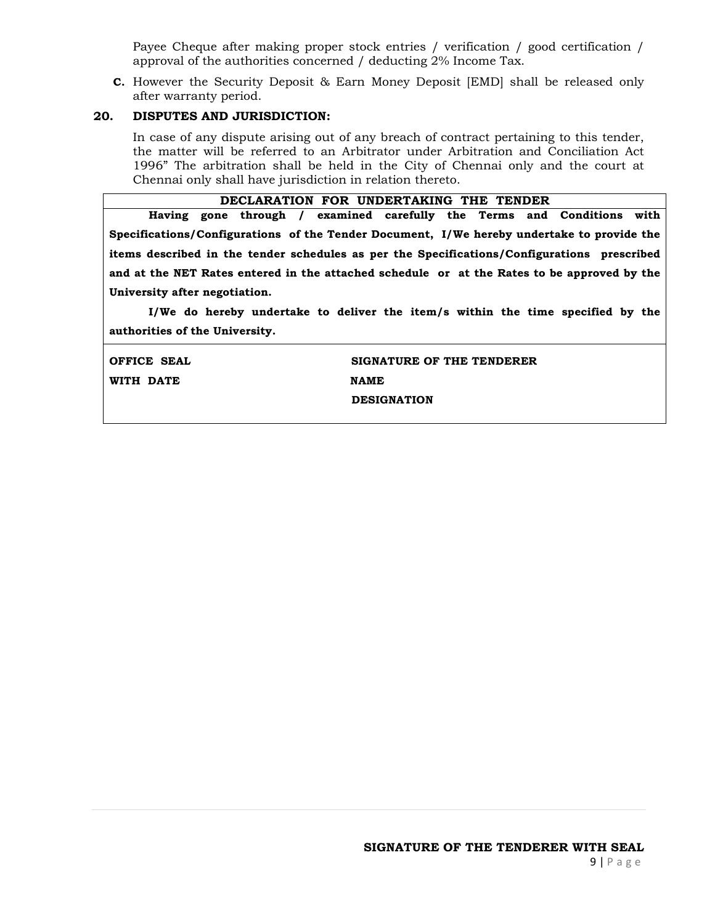Payee Cheque after making proper stock entries / verification / good certification / approval of the authorities concerned / deducting 2% Income Tax.

**C.** However the Security Deposit & Earn Money Deposit [EMD] shall be released only after warranty period.

# **20. DISPUTES AND JURISDICTION:**

In case of any dispute arising out of any breach of contract pertaining to this tender, the matter will be referred to an Arbitrator under Arbitration and Conciliation Act 1996" The arbitration shall be held in the City of Chennai only and the court at Chennai only shall have jurisdiction in relation thereto.

| DECLARATION FOR UNDERTAKING THE TENDER                                                      |  |  |  |  |  |
|---------------------------------------------------------------------------------------------|--|--|--|--|--|
| with<br>Having gone through / examined carefully the Terms and Conditions                   |  |  |  |  |  |
| Specifications/Configurations of the Tender Document, I/We hereby undertake to provide the  |  |  |  |  |  |
| items described in the tender schedules as per the Specifications/Configurations prescribed |  |  |  |  |  |
| and at the NET Rates entered in the attached schedule or at the Rates to be approved by the |  |  |  |  |  |
| University after negotiation.                                                               |  |  |  |  |  |

 **I/We do hereby undertake to deliver the item/s within the time specified by the authorities of the University.** 

| OFFICE SEAL | SIGNATURE OF THE TENDERER |
|-------------|---------------------------|
| WITH DATE   | <b>NAME</b>               |
|             | <b>DESIGNATION</b>        |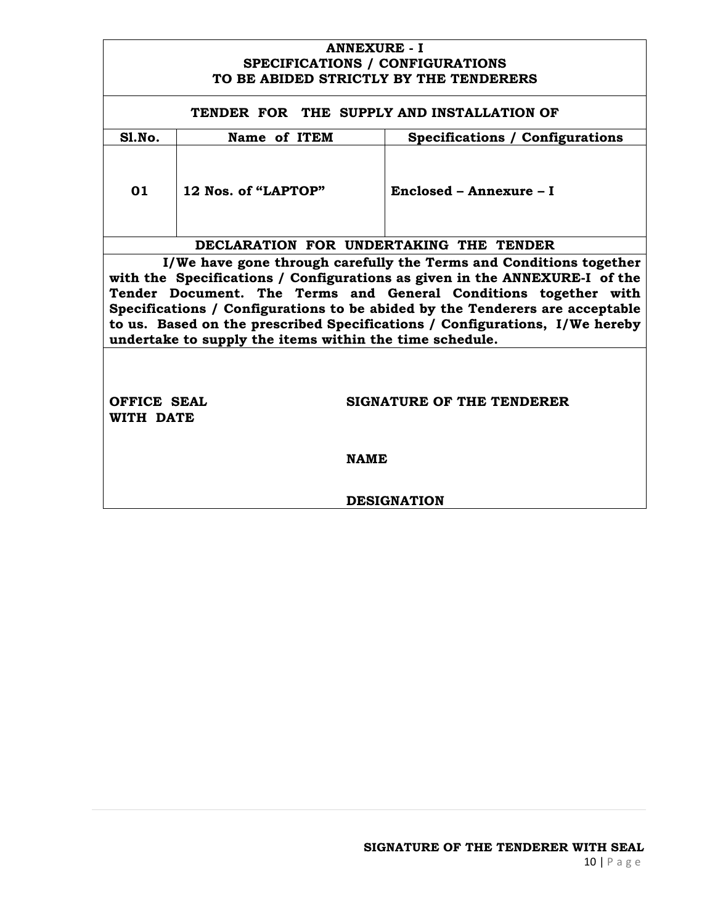# **ANNEXURE - I SPECIFICATIONS / CONFIGURATIONS TO BE ABIDED STRICTLY BY THE TENDERERS**

# **TENDER FOR THE SUPPLY AND INSTALLATION OF Sl.No. Name of ITEM Specifications / Configurations 01 12 Nos. of "LAPTOP" Enclosed – Annexure – I DECLARATION FOR UNDERTAKING THE TENDER I/We have gone through carefully the Terms and Conditions together with the Specifications / Configurations as given in the ANNEXURE-I of the Tender Document. The Terms and General Conditions together with Specifications / Configurations to be abided by the Tenderers are acceptable to us. Based on the prescribed Specifications / Configurations, I/We hereby undertake to supply the items within the time schedule. OFFICE SEAL SIGNATURE OF THE TENDERER WITH DATE NAME DESIGNATION**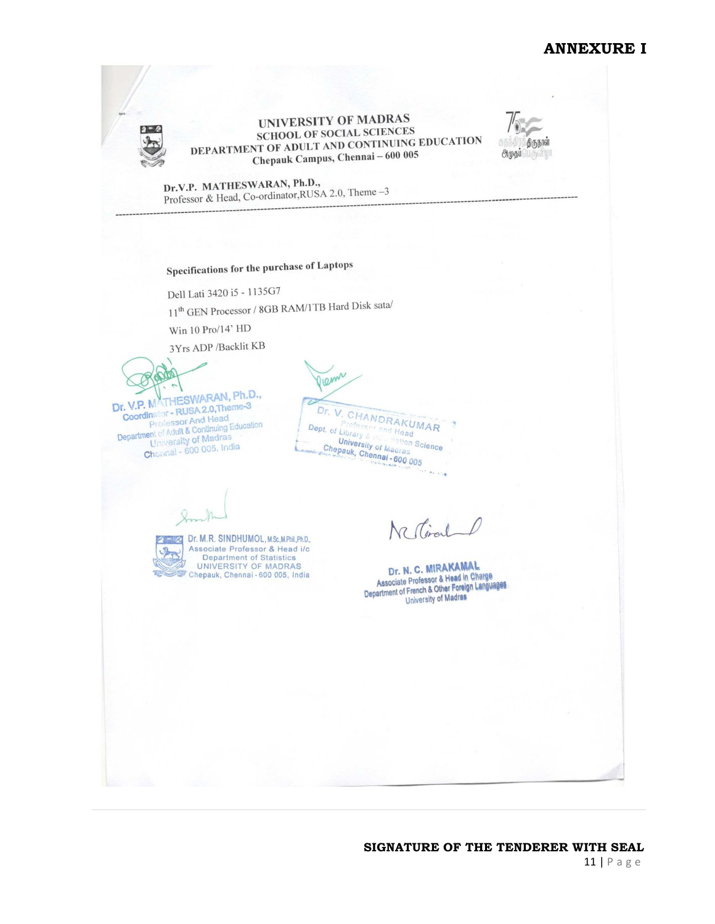# **ANNEXURE I**



UNIVERSITY OF MADRAS SCHOOL OF SOCIAL SCIENCES SCHOOL OF SOCIAL SCIENCES<br>DEPARTMENT OF ADULT AND CONTINUING EDUCATION **Chepauk Campus, Chennai - 600 005** 



Dr.V.P. MATHESWARAN, Ph.D., Dr.V.P. MATHESWARAN, Ph.D.,<br>Professor & Head, Co-ordinator, RUSA 2.0, Theme  $-3$ 

# Specifications for the purchase of Laptops

Dell Lati 3420 i5 - 1135G7

11<sup>th</sup> GEN Processor / 8GB RAM/1TB Hard Disk sata/

Win 10 Pro/14' HD

3Yrs ADP /Backlit KB

Dr. V.P. MATHESWARAN, Ph.D., r. V.P. MATHESWARAN, Fine<br>Coordinator - RUSA 2.0, Theme-3 **Coordinator - RUSA 2.0, Ineme-V<br>Professor And Head<br>Department of Adult & Continuing Education**<br>University of Madras ent of Adult & Continuing<br>University of Madras<br>600.005, Indi University of Madrias<br>Channal - 600 005. India

Pienn Dr. V. CHANDRAKUMAR Tofesent and Head Dept. of Library & **Chical Chinary & Chicago Head University of Magine Science Chicago Chicago Chicago Chicago Chicago Chicago Chi<br>Chepauk, Chennai - 600 005** <sup>e</sup> Head<br><sup>Metion</sup> Science

 $\mathcal{L}$ 

Dr. M.R. SINDHUMOL, M.Sc., M.Phil., Ph.D., Associate Professor & Head i/c Department of Statistics<br>UNIVERSITY OF MADRAS<br>Chepauk, Chennai - 600 005, India

Nestimal

He she

Dr. N. C. MIRAKAMAL Dr. N. C. MIRARAMIA Charge<br>Associate Professor & Head in Charge<br>Department of French & Other Foreign Languages University of Madras

#### **SIGNATURE OF THE TENDERER WITH SEAL** 11 | P a g e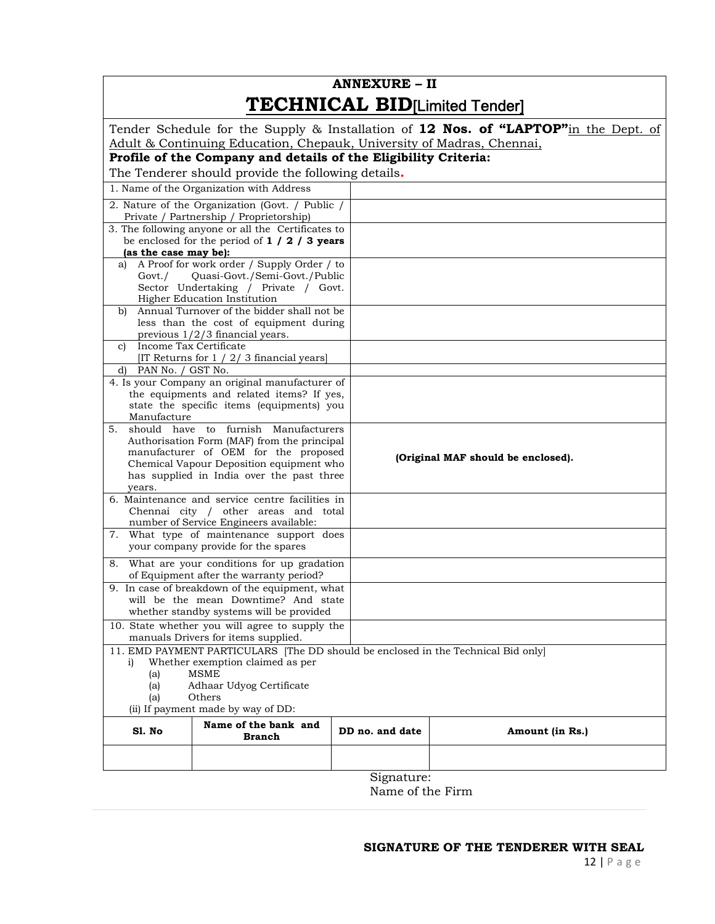# **ANNEXURE – II TECHNICAL BID**<sub>[Limited Tender]</sub>

|                                                  |                                                                                                       |                 |                                    | Tender Schedule for the Supply & Installation of 12 Nos. of "LAPTOP"in the Dept. of |  |
|--------------------------------------------------|-------------------------------------------------------------------------------------------------------|-----------------|------------------------------------|-------------------------------------------------------------------------------------|--|
|                                                  | Adult & Continuing Education, Chepauk, University of Madras, Chennai,                                 |                 |                                    |                                                                                     |  |
|                                                  | Profile of the Company and details of the Eligibility Criteria:                                       |                 |                                    |                                                                                     |  |
|                                                  | The Tenderer should provide the following details.                                                    |                 |                                    |                                                                                     |  |
|                                                  | 1. Name of the Organization with Address                                                              |                 |                                    |                                                                                     |  |
|                                                  | 2. Nature of the Organization (Govt. / Public /                                                       |                 |                                    |                                                                                     |  |
|                                                  | Private / Partnership / Proprietorship)                                                               |                 |                                    |                                                                                     |  |
|                                                  | 3. The following anyone or all the Certificates to<br>be enclosed for the period of $1 / 2 / 3$ years |                 |                                    |                                                                                     |  |
| (as the case may be):                            |                                                                                                       |                 |                                    |                                                                                     |  |
| a)                                               | A Proof for work order / Supply Order / to                                                            |                 |                                    |                                                                                     |  |
| Govt./                                           | Quasi-Govt./Semi-Govt./Public                                                                         |                 |                                    |                                                                                     |  |
|                                                  | Sector Undertaking / Private / Govt.                                                                  |                 |                                    |                                                                                     |  |
| b)                                               | Higher Education Institution<br>Annual Turnover of the bidder shall not be                            |                 |                                    |                                                                                     |  |
|                                                  | less than the cost of equipment during                                                                |                 |                                    |                                                                                     |  |
|                                                  | previous $1/2/3$ financial years.                                                                     |                 |                                    |                                                                                     |  |
| Income Tax Certificate<br>c)                     |                                                                                                       |                 |                                    |                                                                                     |  |
|                                                  | [IT Returns for $1 / 2 / 3$ financial years]                                                          |                 |                                    |                                                                                     |  |
| PAN No. / GST No.<br>d)                          | 4. Is your Company an original manufacturer of                                                        |                 |                                    |                                                                                     |  |
|                                                  | the equipments and related items? If yes,                                                             |                 |                                    |                                                                                     |  |
|                                                  | state the specific items (equipments) you                                                             |                 |                                    |                                                                                     |  |
| Manufacture                                      |                                                                                                       |                 |                                    |                                                                                     |  |
| 5.                                               | should have to furnish<br>Manufacturers                                                               |                 |                                    |                                                                                     |  |
|                                                  | Authorisation Form (MAF) from the principal<br>manufacturer of OEM for the proposed                   |                 |                                    |                                                                                     |  |
|                                                  | Chemical Vapour Deposition equipment who                                                              |                 | (Original MAF should be enclosed). |                                                                                     |  |
|                                                  | has supplied in India over the past three                                                             |                 |                                    |                                                                                     |  |
| years.                                           |                                                                                                       |                 |                                    |                                                                                     |  |
|                                                  | 6. Maintenance and service centre facilities in<br>Chennai city / other areas and total               |                 |                                    |                                                                                     |  |
|                                                  | number of Service Engineers available:                                                                |                 |                                    |                                                                                     |  |
|                                                  | 7. What type of maintenance support does                                                              |                 |                                    |                                                                                     |  |
|                                                  | your company provide for the spares                                                                   |                 |                                    |                                                                                     |  |
|                                                  | 8. What are your conditions for up gradation                                                          |                 |                                    |                                                                                     |  |
|                                                  | of Equipment after the warranty period?                                                               |                 |                                    |                                                                                     |  |
|                                                  | 9. In case of breakdown of the equipment, what                                                        |                 |                                    |                                                                                     |  |
|                                                  | will be the mean Downtime? And state<br>whether standby systems will be provided                      |                 |                                    |                                                                                     |  |
|                                                  | 10. State whether you will agree to supply the                                                        |                 |                                    |                                                                                     |  |
|                                                  | manuals Drivers for items supplied.                                                                   |                 |                                    |                                                                                     |  |
|                                                  | 11. EMD PAYMENT PARTICULARS [The DD should be enclosed in the Technical Bid only]                     |                 |                                    |                                                                                     |  |
| Whether exemption claimed as per<br>i)           |                                                                                                       |                 |                                    |                                                                                     |  |
| <b>MSME</b><br>(a)                               |                                                                                                       |                 |                                    |                                                                                     |  |
| Adhaar Udyog Certificate<br>(a)<br>Others<br>(a) |                                                                                                       |                 |                                    |                                                                                     |  |
| (ii) If payment made by way of DD:               |                                                                                                       |                 |                                    |                                                                                     |  |
|                                                  | Name of the bank and                                                                                  |                 |                                    |                                                                                     |  |
| Sl. No                                           | <b>Branch</b>                                                                                         | DD no. and date |                                    | Amount (in Rs.)                                                                     |  |
|                                                  |                                                                                                       |                 |                                    |                                                                                     |  |
|                                                  |                                                                                                       |                 |                                    |                                                                                     |  |
|                                                  |                                                                                                       | Signature:      |                                    |                                                                                     |  |

Name of the Firm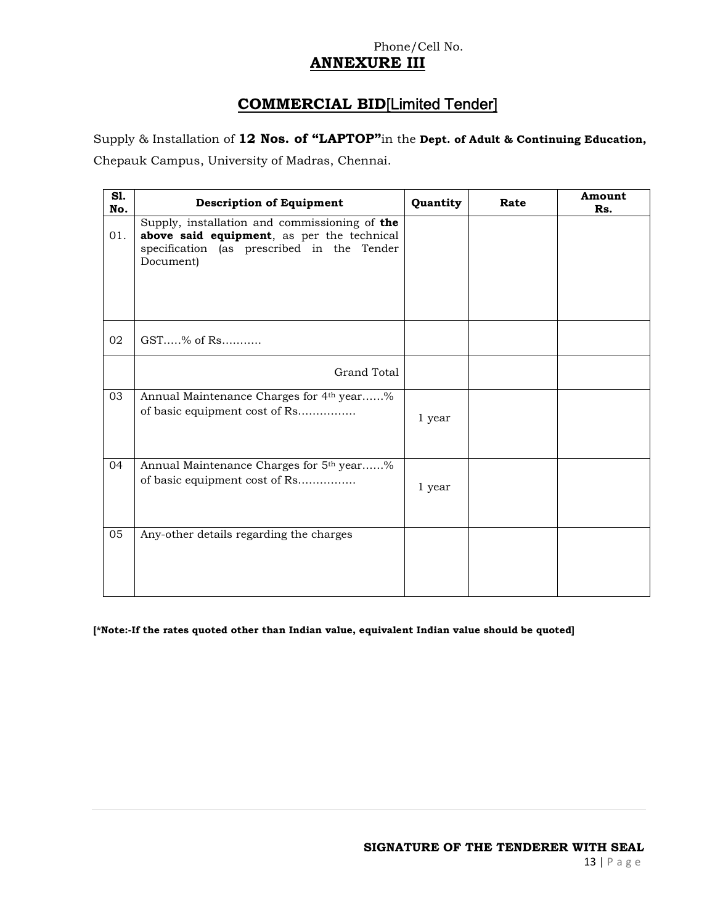# Phone/Cell No. **ANNEXURE III**

# **COMMERCIAL BID**[Limited Tender]

Supply & Installation of **12 Nos. of "LAPTOP"**in the **Dept. of Adult & Continuing Education,** 

Chepauk Campus, University of Madras, Chennai.

| S1.<br>No. | <b>Description of Equipment</b>                                                                                                                        | Quantity | Rate | Amount<br>Rs. |
|------------|--------------------------------------------------------------------------------------------------------------------------------------------------------|----------|------|---------------|
| 01.        | Supply, installation and commissioning of the<br>above said equipment, as per the technical<br>specification (as prescribed in the Tender<br>Document) |          |      |               |
| 02         | $GST$ % of Rs                                                                                                                                          |          |      |               |
|            | Grand Total                                                                                                                                            |          |      |               |
| 03         | Annual Maintenance Charges for 4 <sup>th</sup> year%<br>of basic equipment cost of Rs                                                                  | 1 year   |      |               |
| 04         | Annual Maintenance Charges for 5th year%<br>of basic equipment cost of Rs                                                                              | 1 year   |      |               |
| 05         | Any-other details regarding the charges                                                                                                                |          |      |               |

**[\*Note:-If the rates quoted other than Indian value, equivalent Indian value should be quoted]**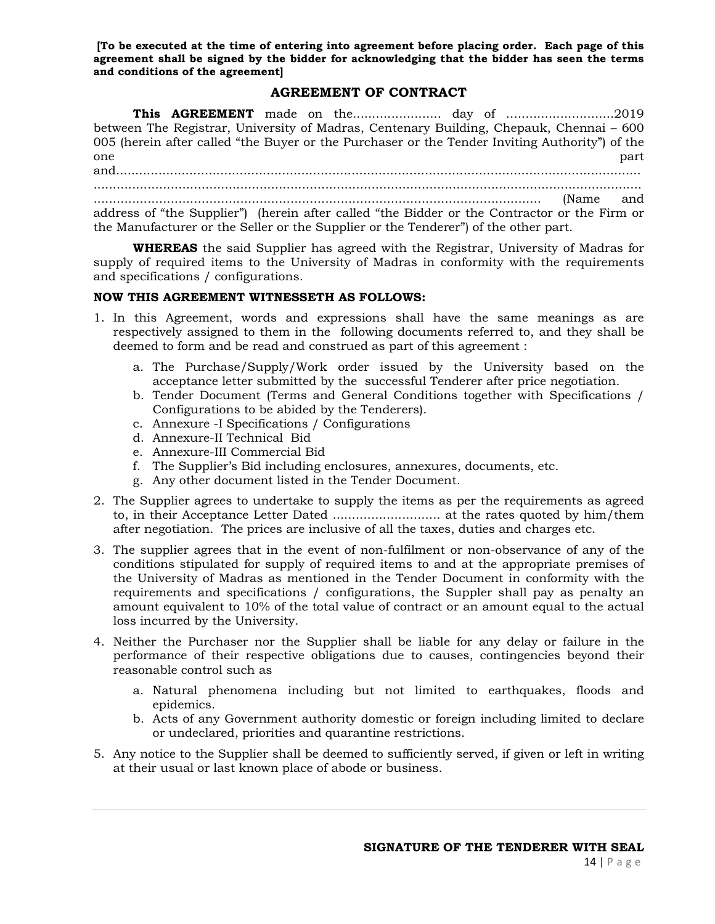**[To be executed at the time of entering into agreement before placing order. Each page of this agreement shall be signed by the bidder for acknowledging that the bidder has seen the terms and conditions of the agreement]** 

# **AGREEMENT OF CONTRACT**

**This AGREEMENT** made on the....................... day of ............................2019 between The Registrar, University of Madras, Centenary Building, Chepauk, Chennai – 600 005 (herein after called "the Buyer or the Purchaser or the Tender Inviting Authority") of the one that the part of the part of the part of the part of the part of the part of the part of the part of the part and........................................................................................................................................ .............................................................................................................................................. .................................................................................................................... (Name and address of "the Supplier") (herein after called "the Bidder or the Contractor or the Firm or the Manufacturer or the Seller or the Supplier or the Tenderer") of the other part.

**WHEREAS** the said Supplier has agreed with the Registrar, University of Madras for supply of required items to the University of Madras in conformity with the requirements and specifications / configurations.

#### **NOW THIS AGREEMENT WITNESSETH AS FOLLOWS:**

- 1. In this Agreement, words and expressions shall have the same meanings as are respectively assigned to them in the following documents referred to, and they shall be deemed to form and be read and construed as part of this agreement :
	- a. The Purchase/Supply/Work order issued by the University based on the acceptance letter submitted by the successful Tenderer after price negotiation.
	- b. Tender Document (Terms and General Conditions together with Specifications / Configurations to be abided by the Tenderers).
	- c. Annexure -I Specifications / Configurations
	- d. Annexure-II Technical Bid
	- e. Annexure-III Commercial Bid
	- f. The Supplier's Bid including enclosures, annexures, documents, etc.
	- g. Any other document listed in the Tender Document.
- 2. The Supplier agrees to undertake to supply the items as per the requirements as agreed to, in their Acceptance Letter Dated ............................ at the rates quoted by him/them after negotiation. The prices are inclusive of all the taxes, duties and charges etc.
- 3. The supplier agrees that in the event of non-fulfilment or non-observance of any of the conditions stipulated for supply of required items to and at the appropriate premises of the University of Madras as mentioned in the Tender Document in conformity with the requirements and specifications / configurations, the Suppler shall pay as penalty an amount equivalent to 10% of the total value of contract or an amount equal to the actual loss incurred by the University.
- 4. Neither the Purchaser nor the Supplier shall be liable for any delay or failure in the performance of their respective obligations due to causes, contingencies beyond their reasonable control such as
	- a. Natural phenomena including but not limited to earthquakes, floods and epidemics.
	- b. Acts of any Government authority domestic or foreign including limited to declare or undeclared, priorities and quarantine restrictions.
- 5. Any notice to the Supplier shall be deemed to sufficiently served, if given or left in writing at their usual or last known place of abode or business.